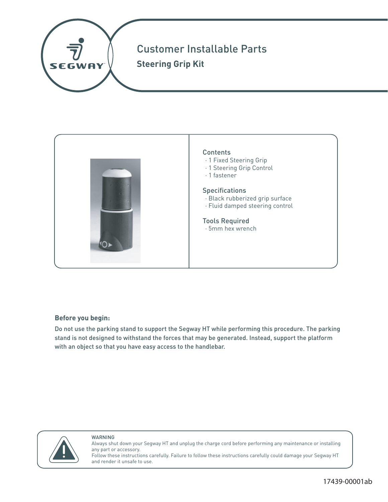



WARNING

**Before you begin:** Do not use the parking stand to support the Segway HT while performing this procedure. The parking stand is not designed to withstand the forces that may be generated. Instead, support the platform with an object so that you have easy access to the handlebar.



Always shut down your Segway HT and unplug the charge cord before performing any maintenance or installing any part or accessory. Follow these instructions carefully. Failure to follow these instructions carefully could damage your Segway HT and render it unsafe to use.